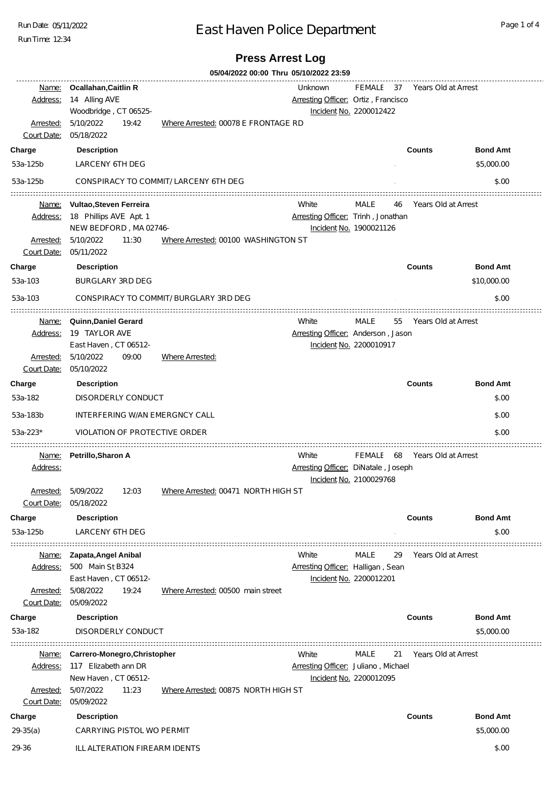Run Date: 05/11/2022

Run Time: 12:34

# East Haven Police Department

## **Press Arrest Log**

|                                                 | 05/04/2022 00:00 Thru 05/10/2022 23:59                                                                    |                                        |                                                |                                      |    |                               |                 |  |  |
|-------------------------------------------------|-----------------------------------------------------------------------------------------------------------|----------------------------------------|------------------------------------------------|--------------------------------------|----|-------------------------------|-----------------|--|--|
| Name:<br>Address:<br>Arrested:<br>Court Date:   | <b>Ocallahan, Caitlin R</b><br>14 Alling AVE<br>Woodbridge, CT 06525-<br>5/10/2022<br>19:42<br>05/18/2022 | Where Arrested: 00078 E FRONTAGE RD    | Unknown<br>Arresting Officer: Ortiz, Francisco | Incident No. 2200012422              |    | FEMALE 37 Years Old at Arrest |                 |  |  |
| Charge                                          | <b>Description</b>                                                                                        |                                        |                                                |                                      |    | <b>Counts</b>                 | <b>Bond Amt</b> |  |  |
| 53a-125b                                        | <b>LARCENY 6TH DEG</b>                                                                                    |                                        |                                                |                                      |    |                               | \$5,000.00      |  |  |
| 53a-125b                                        |                                                                                                           | CONSPIRACY TO COMMIT/ LARCENY 6TH DEG  |                                                |                                      |    |                               | \$.00           |  |  |
| Address:<br>Arrested:<br>Court Date: 05/11/2022 | Name: Vultao, Steven Ferreira<br>18 Phillips AVE Apt. 1<br>NEW BEDFORD, MA 02746-<br>5/10/2022<br>11:30   | Where Arrested: 00100 WASHINGTON ST    | White<br>Arresting Officer: Trinh, Jonathan    | MALE<br>Incident No. 1900021126      | 46 | Years Old at Arrest           |                 |  |  |
| Charge                                          | <b>Description</b>                                                                                        |                                        |                                                |                                      |    | <b>Counts</b>                 | <b>Bond Amt</b> |  |  |
| 53a-103                                         | <b>BURGLARY 3RD DEG</b>                                                                                   |                                        |                                                |                                      |    |                               | \$10,000.00     |  |  |
| 53a-103                                         |                                                                                                           | CONSPIRACY TO COMMIT/ BURGLARY 3RD DEG |                                                |                                      |    |                               | \$.00           |  |  |
| Address:<br>Arrested:<br>Court Date:            | Name: Quinn, Daniel Gerard<br>19 TAYLOR AVE<br>East Haven, CT 06512-<br>5/10/2022<br>09:00<br>05/10/2022  | Where Arrested:                        | White<br>Arresting Officer: Anderson, Jason    | MALE<br>Incident No. 2200010917      | 55 | Years Old at Arrest           |                 |  |  |
| Charge                                          | <b>Description</b>                                                                                        |                                        |                                                |                                      |    | <b>Counts</b>                 | <b>Bond Amt</b> |  |  |
| 53a-182                                         | DISORDERLY CONDUCT                                                                                        |                                        |                                                |                                      |    |                               | \$.00           |  |  |
|                                                 |                                                                                                           |                                        |                                                |                                      |    |                               |                 |  |  |
| 53a-183b                                        | INTERFERING W/AN EMERGNCY CALL                                                                            |                                        |                                                |                                      |    | \$.00                         |                 |  |  |
| 53a-223*                                        | <b>VIOLATION OF PROTECTIVE ORDER</b>                                                                      |                                        |                                                |                                      |    |                               | \$.00           |  |  |
| Name:<br>Address:<br>Arrested:                  | Petrillo, Sharon A<br>5/09/2022<br>12:03                                                                  | Where Arrested: 00471 NORTH HIGH ST    | White<br>Arresting Officer: DiNatale, Joseph   | FEMALE 68<br>Incident No. 2100029768 |    | Years Old at Arrest           |                 |  |  |
| Court Date:                                     | 05/18/2022                                                                                                |                                        |                                                |                                      |    |                               |                 |  |  |
| Charge                                          | <b>Description</b>                                                                                        |                                        |                                                |                                      |    | <b>Counts</b>                 | <b>Bond Amt</b> |  |  |
| 53a-125b                                        | LARCENY 6TH DEG                                                                                           |                                        |                                                |                                      |    |                               | \$.00           |  |  |
| Arrested:<br>Court Date: 05/09/2022             | Name: Zapata, Angel Anibal<br>Address: 500 Main St B324<br>East Haven, CT 06512-<br>5/08/2022<br>19:24    | Where Arrested: 00500 main street      | White<br>Arresting Officer: Halligan, Sean     | MALE<br>Incident No. 2200012201      | 29 | Years Old at Arrest           |                 |  |  |
| Charge                                          | <b>Description</b>                                                                                        |                                        |                                                |                                      |    | <b>Counts</b>                 | <b>Bond Amt</b> |  |  |
| 53a-182                                         | DISORDERLY CONDUCT                                                                                        |                                        |                                                |                                      |    |                               | \$5,000.00      |  |  |
| <u>Name:</u>                                    | Carrero-Monegro, Christopher                                                                              |                                        | White                                          | MALE                                 | 21 | Years Old at Arrest           |                 |  |  |
| Address:<br>Arrested:                           | 117 Elizabeth ann DR<br>New Haven, CT 06512-<br>5/07/2022<br>11:23                                        | Where Arrested: 00875 NORTH HIGH ST    | Arresting Officer: Juliano, Michael            | Incident No. 2200012095              |    |                               |                 |  |  |
| Court Date:                                     | 05/09/2022                                                                                                |                                        |                                                |                                      |    |                               |                 |  |  |
| Charge                                          | <b>Description</b>                                                                                        |                                        |                                                |                                      |    | <b>Counts</b>                 | <b>Bond Amt</b> |  |  |
| $29-35(a)$                                      | CARRYING PISTOL WO PERMIT                                                                                 |                                        |                                                |                                      |    |                               | \$5,000.00      |  |  |
| 29-36                                           | ILL ALTERATION FIREARM IDENTS                                                                             |                                        |                                                |                                      |    |                               | \$.00           |  |  |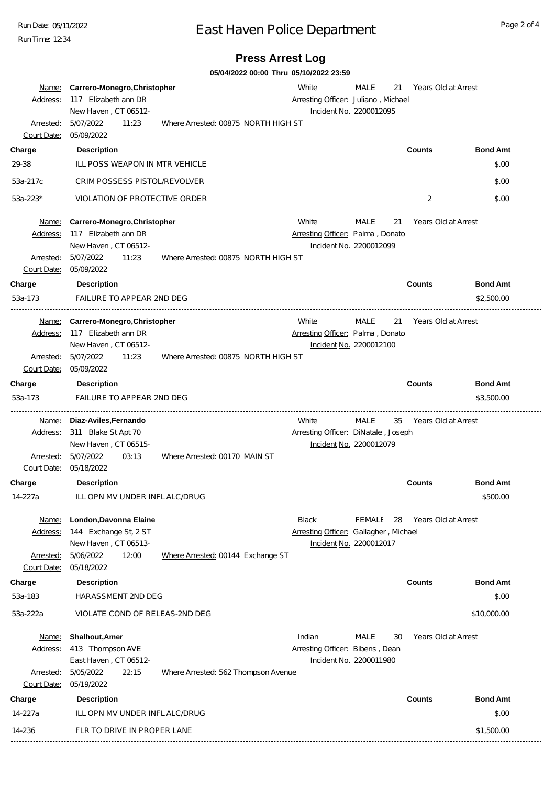Run Date: 05/11/2022

Run Time: 12:34

### East Haven Police Department

#### **Press Arrest Log**

**05/04/2022 00:00 Thru 05/10/2022 23:59** White MALE 21 Years Old at Arrest Name: **Carrero-Monegro,Christopher** Address: 117 Elizabeth ann DR **Arresting Officer: Juliano**, Michael New Haven , CT 06512- Incident No. 2200012095 Arrested: 5/07/2022 11:23 Where Arrested: 00875 NORTH HIGH ST 5/07/2022 Court Date: 05/09/2022 **Charge Description Counts Bond Amt** 29-38 ILL POSS WEAPON IN MTR VEHICLE 2000 AND THE RESEARCH 2000 AND THE RESEARCH 2000 S.00 53a-217c CRIM POSSESS PISTOL/REVOLVER 7/6/1921 00:00 \$.000 \$.000 \$.000 \$.000 \$.00 53a-223\* VIOLATION OF PROTECTIVE ORDER 7/6/1921 00:00:00 2 \$.00 Name: **Carrero-Monegro,Christopher** White MALE 21 Years Old at Arrest Address: 117 Elizabeth ann DR **Arresting Officer: Palma** , Donato New Haven , CT 06512- Incident No. 2200012099 Arrested: 5/07/2022 11:23 Where Arrested: 00875 NORTH HIGH ST 5/07/2022 Court Date: 05/09/2022 **Charge Description Counts Bond Amt** 53a-173 FAILURE TO APPEAR 2ND DEG 7/6/1921 00:00:00 \$2,500.00 Name: **Carrero-Monegro,Christopher** White MALE 21 Years Old at Arrest Address: 117 Elizabeth ann DR **Arresting Officer: Palma** , Donato New Haven , CT 06512- Incident No. 2200012100 Arrested: 5/07/2022 11:23 Where Arrested: 00875 NORTH HIGH ST 5/07/2022 Court Date: 05/09/2022 **Charge Description Counts Bond Amt** 53a-173 FAILURE TO APPEAR 2ND DEG 7/6/1921 00:00:00 \$3,500.00 Name: **Diaz-Aviles,Fernando** White MALE 35 Years Old at Arrest Address: 311 Blake St Apt 70 Arresting Officer: DiNatale , Joseph New Haven , CT 06515- Incident No. 2200012079 Arrested: 5/07/2022 03:13 Where Arrested: 00170 MAIN ST 5/07/2022 Court Date: 05/18/2022 **Charge Description Counts Bond Amt** 14-227a ILL OPN MV UNDER INFL ALC/DRUG 12/12/1935 00:00:00 \$500.00 Name: **London,Davonna Elaine** Black FEMALE 28 Years Old at Arrest Address: 144 Exchange St, 2 ST Arresting Officer: Gallagher , Michael New Haven , CT 06513- Incident No. 2200012017 Arrested: 5/06/2022 12:00 Where Arrested: 00144 Exchange ST 5/06/2022 Court Date: 05/18/2022 **Charge Description Counts Bond Amt** 53a-183 HARASSMENT 2ND DEG 6/4/1928 00:00:00 \$.00 53a-222a VIOLATE COND OF RELEAS-2ND DEG 6/4/1928 00:00:00 \$10,000.00 Name: **Shalhout,Amer** Indian MALE 30 Years Old at Arrest Address: 413 Thompson AVE **Arresting Officer: Bibens** , Dean East Haven , CT 06512- Incident No. 2200011980 Arrested: 5/05/2022 22:15 Where Arrested: 562 Thompson Avenue 5/05/2022 Court Date: 05/19/2022 **Charge Description Counts Bond Amt** 14-227a ILL OPN MV UNDER INFLALC/DRUG 7/8/1930 00:00 \$.00 \$.00 14-236 FLR TO DRIVE IN PROPER LANE 7/8/8/1930 12:00:00 \$1,500.00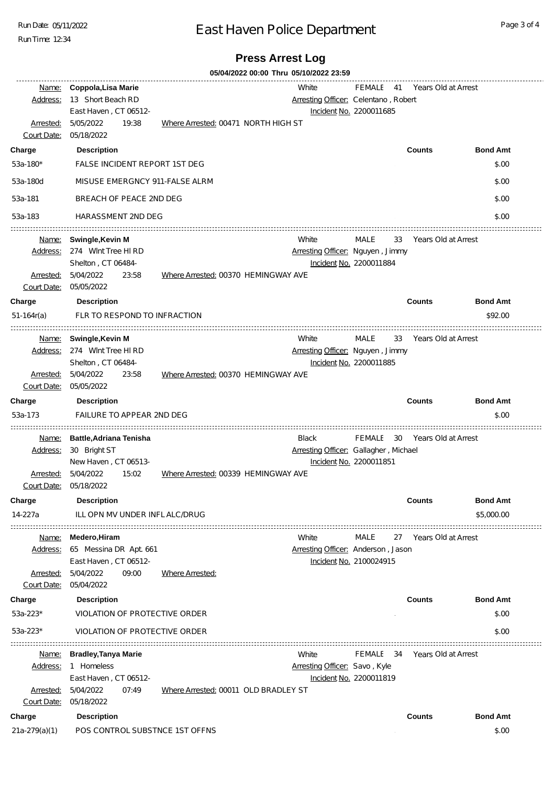Run Date: 05/11/2022

Run Time: 12:34

### East Haven Police Department

#### **Press Arrest Log**

**05/04/2022 00:00 Thru 05/10/2022 23:59** Name: **Coppola,Lisa Marie** White FEMALE 41 Years Old at Arrest Address: 13 Short Beach RD **Arresting Officer: Celentano** , Robert East Haven , CT 06512- Incident No. 2200011685 Arrested: 5/05/2022 19:38 Where Arrested: 00471 NORTH HIGH ST 5/05/2022 Court Date: 05/18/2022 **Charge Description Counts Bond Amt** 53a-180\* FALSE INCIDENT REPORT 1ST DEG 600 for the state of the state of the state of the state of the state of the state of the state of the state of the state of the state of the state of the state of the state of the st 53a-180d MISUSE EMERGNCY 911-FALSE ALRM 6/28/1941 00:00:00 \$.00 53a-181 BREACH OF PEACE 2ND DEG 600 AND 100:00 \$.000 BREACH OF PEACE 2ND DEG 600 AND 100:00 \$.000 \$.000 \$.000 53a-183 HARASSMENT 2ND DEG 6/28/1941 00:00:00 \$.00 Name: **Swingle,Kevin M** White MALE 33 Years Old at Arrest Address: 274 Wint Tree Hi RD **Arresting Officer: Nguyen**, Jimmy Shelton , CT 06484- Incident No. 2200011884 Arrested: 5/04/2022 23:58 Where Arrested: 00370 HEMINGWAY AVE 5/04/2022 Court Date: 05/05/2022 **Charge Description Counts Bond Amt** 51-164r(a) FLR TO RESPOND TO INFRACTION 400 and the state of the state of the state of the state of the state of the state of the state of the state of the state of the state of the state of the state of the state of the s Name: **Swingle,Kevin M** White MALE 33 Years Old at Arrest Address: 274 Wint Tree HI RD Arresting Officer: Nguyen , Jimmy Shelton , CT 06484- Incident No. 2200011885 Arrested: 5/04/2022 23:58 Where Arrested: 00370 HEMINGWAY AVE Court Date: 05/05/2022 **Charge Description Counts Bond Amt** 53a-173 FAILURE TO APPEAR 2ND DEG 4/24/1933 00:00:00 \$.00 Name: **Battle,Adriana Tenisha** Black FEMALE 30 Years Old at Arrest Address: 30 Bright ST **Arresting Officer: Gallagher**, Michael New Haven , CT 06513- Incident No. 2200011851 5/04/2022 15:02 Where Arrested: 00339 HEMINGWAY AVE Court Date: 05/18/2022 **Charge Description Counts Bond Amt** 14-227a ILL OPN MV UNDER INFL ALC/DRUG 10/13/1930 00:00:00 \$5,000.00 Name: **Medero,Hiram** White MALE 27 Years Old at Arrest Address: 65 Messina DR Apt. 661 Arresting Officer: Anderson , Jason East Haven , CT 06512- Incident No. 2100024915 Arrested: 09:00 Where Arrested: 5/04/2022 Court Date: 05/04/2022 **Charge Description Counts Bond Amt** 53a-223\* VIOLATION OF PROTECTIVE ORDER 300:00 AND THE SERVICE OF DETAILS AND STRUCK AND STRUCK AND STRUCK AND S 53a-223\* VIOLATION OF PROTECTIVE ORDER 300:00 AND THE SERVICE OF DETAILS AND STRUCK AND STRUCK AND STRUCK AND S Name: **Bradley,Tanya Marie** White FEMALE 34 Years Old at Arrest Address: 1 Homeless **Arresting Officer:** Savo , Kyle East Haven , CT 06512- Incident No. 2200011819 Arrested: 5/04/2022 07:49 Where Arrested: 00011 OLD BRADLEY ST Court Date: 05/18/2022 **Charge Description Counts Bond Amt** 21a-279(a)(1) POS CONTROL SUBSTNCE 1ST OFFNS 8/13/1934 00:00:00 \$.00